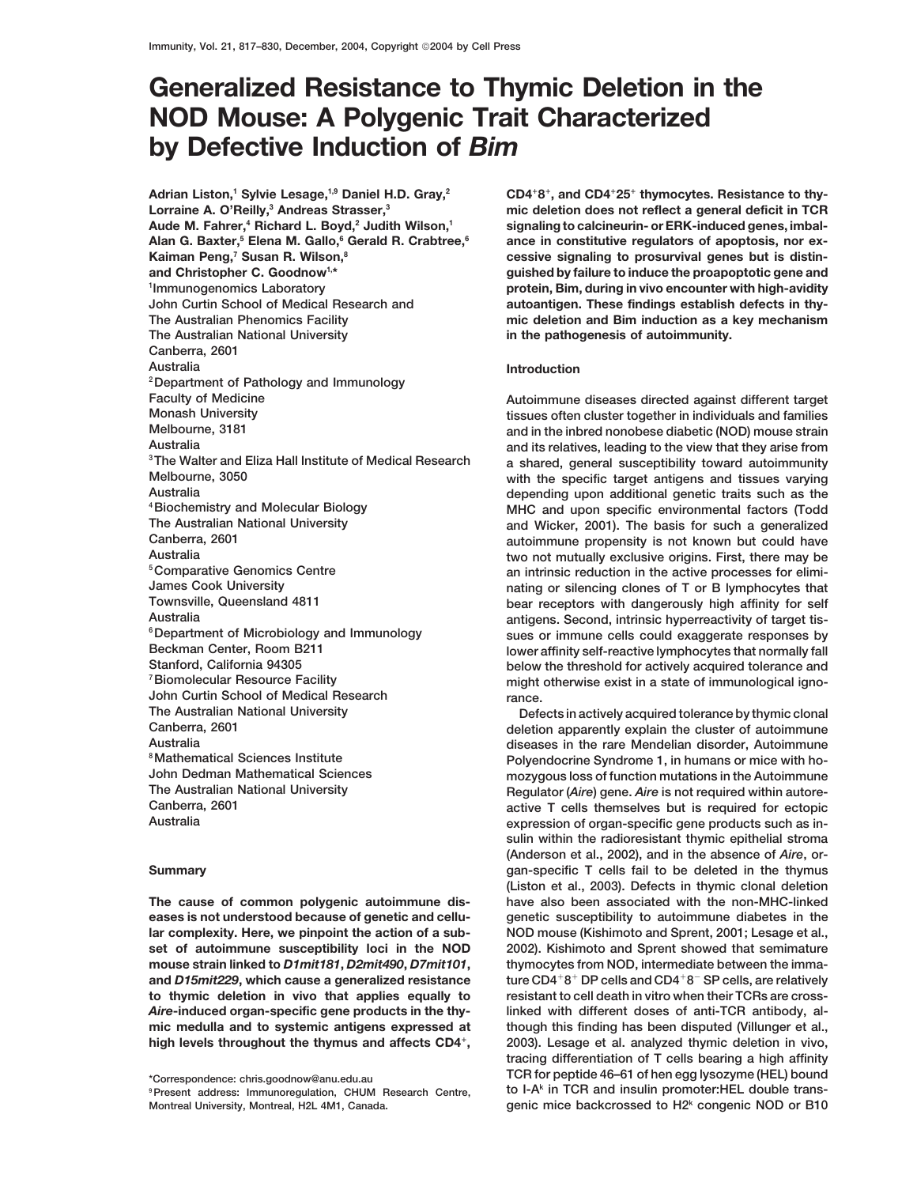# **Generalized Resistance to Thymic Deletion in the NOD Mouse: A Polygenic Trait Characterized by Defective Induction of** *Bim*

**Adrian Liston,1 Sylvie Lesage,1,9 Daniel H.D. Gray,2 Lorraine A. O'Reilly,3 Andreas Strasser,3 Aude M. Fahrer,4 Richard L. Boyd,2 Judith Wilson,1 Alan G. Baxter,5 Elena M. Gallo,6 Gerald R. Crabtree,6 Kaiman Peng,7 Susan R. Wilson,8 Immunogenomics Laboratory The Australian National University in the pathogenesis of autoimmunity. Canberra, 2601 Australia Introduction 2Department of Pathology and Immunology Faculty of Medicine Autoimmune diseases directed against different target John Curtin School of Medical Research rance. The Australian National University Defects in actively acquired tolerance by thymic clonal**

**and** *D15mit229*, which cause a generalized resistance **to thymic deletion in vivo that applies equally to resistant to cell death in vitro when their TCRs are cross-**

**CD48, and CD425 thymocytes. Resistance to thymic deletion does not reflect a general deficit in TCR signaling to calcineurin- or ERK-induced genes, imbalance in constitutive regulators of apoptosis, nor excessive signaling to prosurvival genes but is distinand Christopher C. Goodnow1,\* guished by failure to induce the proapoptotic gene and protein, Bim, during in vivo encounter with high-avidity <sup>1</sup> John Curtin School of Medical Research and autoantigen. These findings establish defects in thy-The Australian Phenomics Facility mic deletion and Bim induction as a key mechanism**

**Monash University tissues often cluster together in individuals and families** and in the inbred nonobese diabetic (NOD) mouse strain **Australia and its relatives, leading to the view that they arise from 3The Walter and Eliza Hall Institute of Medical Research a shared, general susceptibility toward autoimmunity Melbourne, 3050 with the specific target antigens and tissues varying Australia depending upon additional genetic traits such as the 4Biochemistry and Molecular Biology MHC and upon specific environmental factors (Todd The Australian National University and Wicker, 2001). The basis for such a generalized Canberra, 2601 autoimmune propensity is not known but could have Australia two not mutually exclusive origins. First, there may be 5Comparative Genomics Centre an intrinsic reduction in the active processes for elimi-James Cook University nating or silencing clones of T or B lymphocytes that Townsville, Queensland 4811 bear receptors with dangerously high affinity for self Australia antigens. Second, intrinsic hyperreactivity of target tis- 6Department of Microbiology and Immunology sues or immune cells could exaggerate responses by Beckman Center, Room B211 lower affinity self-reactive lymphocytes that normally fall Stanford, California 94305 below the threshold for actively acquired tolerance and 7Biomolecular Resource Facility might otherwise exist in a state of immunological igno-**

**Canberra, 2601 deletion apparently explain the cluster of autoimmune Australia diseases in the rare Mendelian disorder, Autoimmune 8Mathematical Sciences Institute Polyendocrine Syndrome 1, in humans or mice with ho-John Dedman Mathematical Sciences mozygous loss of function mutations in the Autoimmune** The Australian National University **Regulator (***Aire***) gene.** *Aire* **is not required within autore-**<br>Canberra, 2601 **Canberra, 2601 active T cells themselves but is required for ectopic** expression of organ-specific gene products such as in**sulin within the radioresistant thymic epithelial stroma (Anderson et al., 2002), and in the absence of** *Aire***, or-Summary gan-specific T cells fail to be deleted in the thymus (Liston et al., 2003). Defects in thymic clonal deletion The cause of common polygenic autoimmune dis- have also been associated with the non-MHC-linked eases is not understood because of genetic and cellu- genetic susceptibility to autoimmune diabetes in the lar complexity. Here, we pinpoint the action of a sub- NOD mouse (Kishimoto and Sprent, 2001; Lesage et al., set of autoimmune susceptibility loci in the NOD 2002). Kishimoto and Sprent showed that semimature mouse strain linked to** *D1mit181***,** *D2mit490***,** *D7mit101***, thymocytes from NOD, intermediate between the imma**ture CD4<sup>+</sup>8<sup>+</sup> DP cells and CD4<sup>+</sup>8<sup>-</sup> SP cells, are relatively *Aire***-induced organ-specific gene products in the thy- linked with different doses of anti-TCR antibody, almic medulla and to systemic antigens expressed at though this finding has been disputed (Villunger et al., high levels throughout the thymus and affects CD4, 2003). Lesage et al. analyzed thymic deletion in vivo, tracing differentiation of T cells bearing a high affinity TCR for peptide 46–61 of hen egg lysozyme (HEL) bound \*Correspondence: chris.goodnow@anu.edu.au to I-Ak 9Present address: Immunoregulation, CHUM Research Centre, in TCR and insulin promoter:HEL double trans-Montreal University, Montreal, H2L 4M1, Canada. genic mice backcrossed to H2k congenic NOD or B10**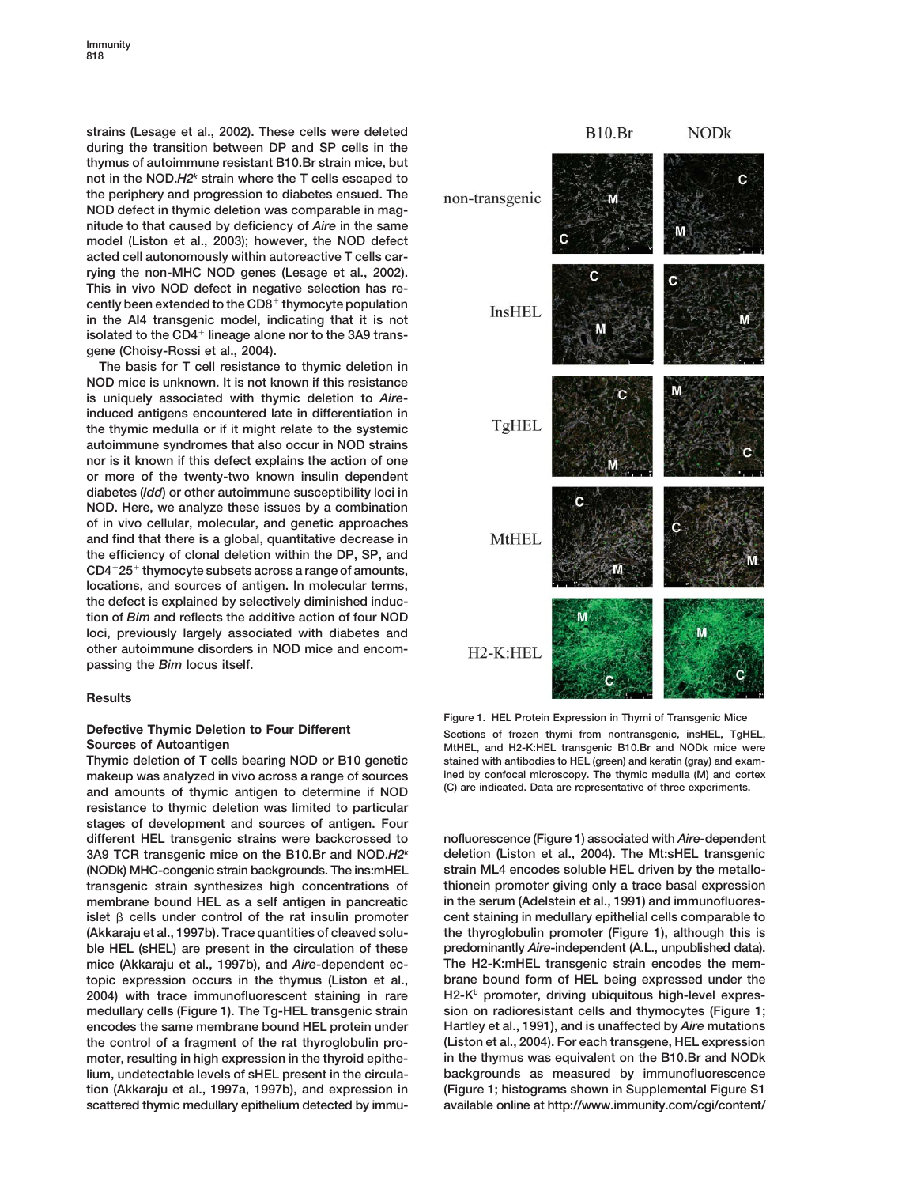**strains (Lesage et al., 2002). These cells were deleted during the transition between DP and SP cells in the thymus of autoimmune resistant B10.Br strain mice, but not in the NOD.***H2k* **strain where the T cells escaped to the periphery and progression to diabetes ensued. The NOD defect in thymic deletion was comparable in magnitude to that caused by deficiency of** *Aire* **in the same model (Liston et al., 2003); however, the NOD defect acted cell autonomously within autoreactive T cells carrying the non-MHC NOD genes (Lesage et al., 2002). This in vivo NOD defect in negative selection has recently been extended to the CD8 thymocyte population in the AI4 transgenic model, indicating that it is not** isolated to the CD4<sup>+</sup> lineage alone nor to the 3A9 trans**gene (Choisy-Rossi et al., 2004).**

**The basis for T cell resistance to thymic deletion in NOD mice is unknown. It is not known if this resistance is uniquely associated with thymic deletion to** *Aire***induced antigens encountered late in differentiation in the thymic medulla or if it might relate to the systemic autoimmune syndromes that also occur in NOD strains nor is it known if this defect explains the action of one or more of the twenty-two known insulin dependent diabetes (***Idd***) or other autoimmune susceptibility loci in NOD. Here, we analyze these issues by a combination of in vivo cellular, molecular, and genetic approaches and find that there is a global, quantitative decrease in the efficiency of clonal deletion within the DP, SP, and CD425 thymocyte subsets across a range of amounts, locations, and sources of antigen. In molecular terms, the defect is explained by selectively diminished induction of** *Bim* **and reflects the additive action of four NOD loci, previously largely associated with diabetes and other autoimmune disorders in NOD mice and encompassing the** *Bim* **locus itself.**

## **Results**

makeup was analyzed in vivo across a range of sources ined by confocal microscopy. The thymic medulla (M) and cortex<br>and amounte of thymic optimen to determine if NOD (C) are indicated. Data are representative of three exp **(C) are indicated. Data are representative of three experiments. and amounts of thymic antigen to determine if NOD resistance to thymic deletion was limited to particular stages of development and sources of antigen. Four different HEL transgenic strains were backcrossed to nofluorescence (Figure 1) associated with** *Aire***-dependent 3A9 TCR transgenic mice on the B10.Br and NOD.***H2* **deletion (Liston et al., 2004). The Mt:sHEL transgenic** *<sup>k</sup>* **(NODk) MHC-congenic strain backgrounds. The ins:mHEL strain ML4 encodes soluble HEL driven by the metallotransgenic strain synthesizes high concentrations of thionein promoter giving only a trace basal expression membrane bound HEL as a self antigen in pancreatic in the serum (Adelstein et al., 1991) and immunofluoresislet cells under control of the rat insulin promoter cent staining in medullary epithelial cells comparable to (Akkaraju et al., 1997b). Trace quantities of cleaved solu- the thyroglobulin promoter (Figure 1), although this is ble HEL (sHEL) are present in the circulation of these predominantly** *Aire***-independent (A.L., unpublished data). mice (Akkaraju et al., 1997b), and** *Aire***-dependent ec- The H2-K:mHEL transgenic strain encodes the memtopic expression occurs in the thymus (Liston et al., brane bound form of HEL being expressed under the H2-Kb 2004) with trace immunofluorescent staining in rare promoter, driving ubiquitous high-level expresmedullary cells (Figure 1). The Tg-HEL transgenic strain sion on radioresistant cells and thymocytes (Figure 1; encodes the same membrane bound HEL protein under Hartley et al., 1991), and is unaffected by** *Aire* **mutations the control of a fragment of the rat thyroglobulin pro- (Liston et al., 2004). For each transgene, HEL expression moter, resulting in high expression in the thyroid epithe- in the thymus was equivalent on the B10.Br and NODk lium, undetectable levels of sHEL present in the circula- backgrounds as measured by immunofluorescence tion (Akkaraju et al., 1997a, 1997b), and expression in (Figure 1; histograms shown in Supplemental Figure S1 scattered thymic medullary epithelium detected by immu- available online at http://www.immunity.com/cgi/content/**



**Figure 1. HEL Protein Expression in Thymi of Transgenic Mice Defective Thymic Deletion to Four Different Sections of frozen thymi from nontransgenic, insHEL, TgHEL, TgHEL, TgHEL, TgHEL, TgHEL, TgHEL, TgHEL, TgHEL, TgHEL, TgHEL, TgHEL, TgHEL, TgHEL, TgHEL, TgHEL, TgHEL, TgHEL, TgH** MtHEL, and H2-K:HEL transgenic B10.Br and NODk mice were **Thymic deletion of T cells bearing NOD or B10 genetic stained with antibodies to HEL (green) and keratin (gray) and exam-**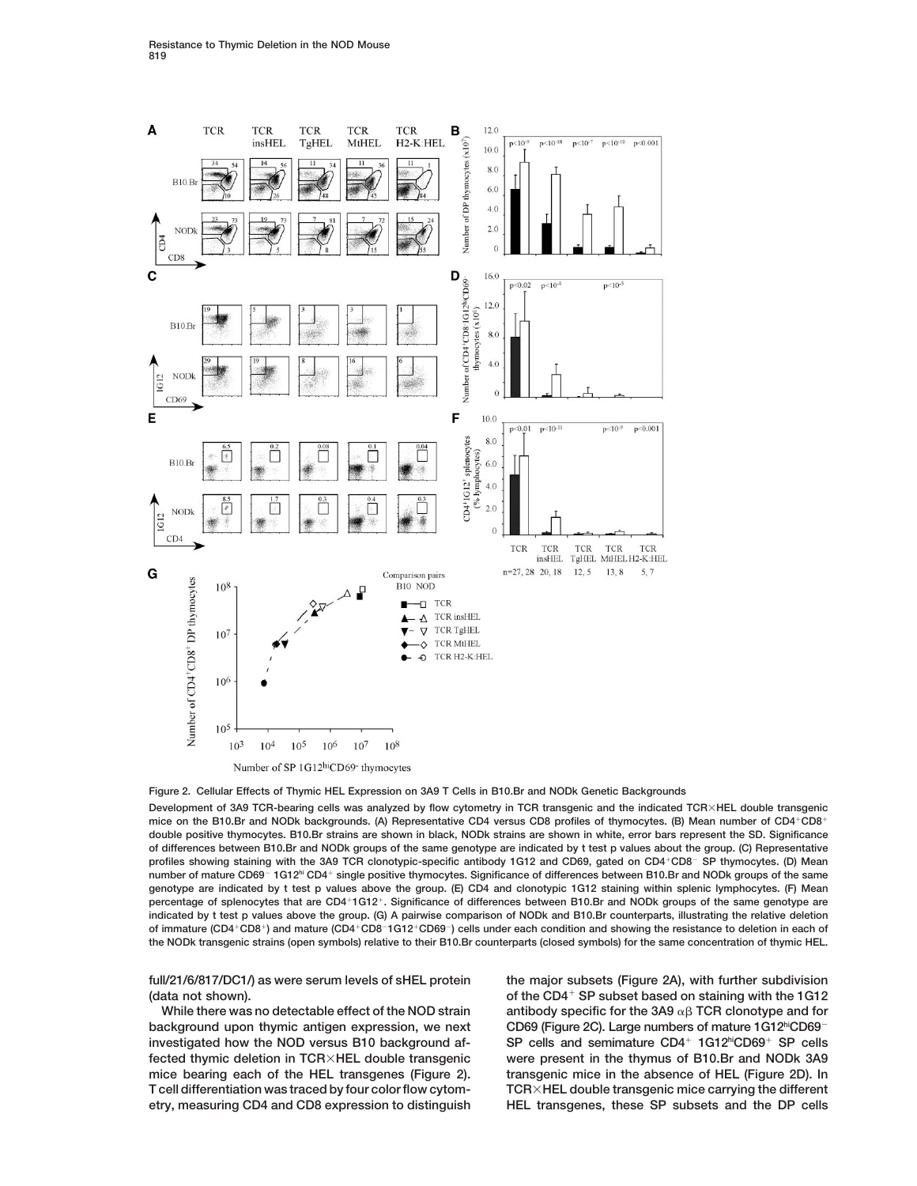

## **Figure 2. Cellular Effects of Thymic HEL Expression on 3A9 T Cells in B10.Br and NODk Genetic Backgrounds**

**Development of 3A9 TCR-bearing cells was analyzed by flow cytometry in TCR transgenic and the indicated TCRHEL double transgenic mice on the B10.Br and NODk backgrounds. (A) Representative CD4 versus CD8 profiles of thymocytes. (B) Mean number of CD4CD8 double positive thymocytes. B10.Br strains are shown in black, NODk strains are shown in white, error bars represent the SD. Significance of differences between B10.Br and NODk groups of the same genotype are indicated by t test p values about the group. (C) Representative profiles showing staining with the 3A9 TCR clonotypic-specific antibody 1G12 and CD69, gated on CD4CD8**- **SP thymocytes. (D) Mean number of mature CD69**- **1G12hi CD4 single positive thymocytes. Significance of differences between B10.Br and NODk groups of the same genotype are indicated by t test p values above the group. (E) CD4 and clonotypic 1G12 staining within splenic lymphocytes. (F) Mean percentage of splenocytes that are CD41G12. Significance of differences between B10.Br and NODk groups of the same genotype are indicated by t test p values above the group. (G) A pairwise comparison of NODk and B10.Br counterparts, illustrating the relative deletion of immature (CD4CD8) and mature (CD4CD8**-**1G12CD69**-**) cells under each condition and showing the resistance to deletion in each of the NODk transgenic strains (open symbols) relative to their B10.Br counterparts (closed symbols) for the same concentration of thymic HEL.**

 **background upon thymic antigen expression, we next investigated how the NOD versus B10 background af- SP cells and semimature CD4 1G12hiCD69 SP cells fected thymic deletion in TCRHEL double transgenic were present in the thymus of B10.Br and NODk 3A9 mice bearing each of the HEL transgenes (Figure 2). transgenic mice in the absence of HEL (Figure 2D). In T cell differentiation was traced by four color flow cytom- TCRHEL double transgenic mice carrying the different etry, measuring CD4 and CD8 expression to distinguish HEL transgenes, these SP subsets and the DP cells**

**full/21/6/817/DC1/) as were serum levels of sHEL protein the major subsets (Figure 2A), with further subdivision of the CD4 (data not shown). SP subset based on staining with the 1G12** While there was no detectable effect of the NOD strain antibody specific for the 3A9  $\alpha\beta$  TCR clonotype and for **CD69 (Figure 2C). Large numbers of mature 1G12hiCD69**-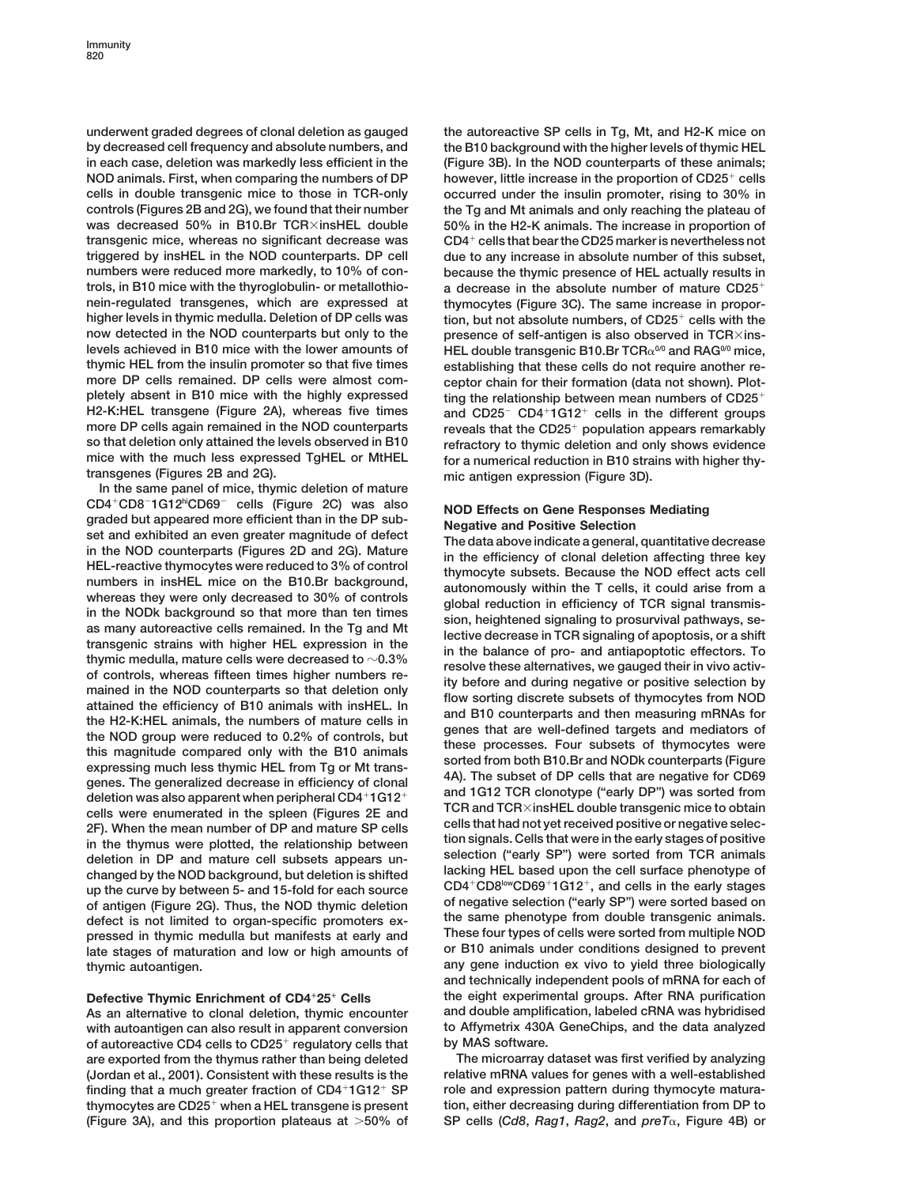**underwent graded degrees of clonal deletion as gauged the autoreactive SP cells in Tg, Mt, and H2-K mice on by decreased cell frequency and absolute numbers, and the B10 background with the higher levels of thymic HEL in each case, deletion was markedly less efficient in the (Figure 3B). In the NOD counterparts of these animals; NOD animals. First, when comparing the numbers of DP however, little increase in the proportion of CD25 cells cells in double transgenic mice to those in TCR-only occurred under the insulin promoter, rising to 30% in controls (Figures 2B and 2G), we found that their number the Tg and Mt animals and only reaching the plateau of was decreased 50% in B10.Br TCRinsHEL double 50% in the H2-K animals. The increase in proportion of transgenic mice, whereas no significant decrease was CD4 cells that bear the CD25 marker is nevertheless not triggered by insHEL in the NOD counterparts. DP cell due to any increase in absolute number of this subset, numbers were reduced more markedly, to 10% of con- because the thymic presence of HEL actually results in trols, in B10 mice with the thyroglobulin- or metallothio- a decrease in the absolute number of mature CD25 nein-regulated transgenes, which are expressed at thymocytes (Figure 3C). The same increase in propornow detected in the NOD counterparts but only to the presence of self-antigen is also observed in TCR** $\times$ ins-<br> **PEL double transperies B10 FCR** and RAG<sup>00</sup> mice **thymic HEL from the insulin promoter so that five times establishing that these cells do not require another re**more DP cells remained. DP cells were almost com-<br>
pletely absent in B10 mice with the highly expressed ting the relationship between mean numbers of CD25<sup>+</sup> **H2-K:HEL transgene (Figure 2A), whereas five times more DP cells again remained in the NOD counterparts** more DP cells again remained in the NOD counterparts reveals that the CD25<sup>+</sup> population appears remarkably<br>so that deletion only attained the levels observed in B10 refractory to thymic deletion and only shows evidence **so that deletion only attained the levels observed in B10 refractory to thymic deletion and only shows evidence** mice with the much less expressed IgHEL or MtHEL for a numerical reduction in B10 strains with higher thy-<br>transgenes (Figures 2B and 2G).

**In the same panel of mice, thymic deletion of mature CD4CD8**-**1G12hiCD69**-CD4<sup>+</sup>CD5<sup>-1</sup>G12<sup>n</sup>CD69<sup>-</sup> cells (Figure 2C) was also **NOD Effects on Gene Responses Mediating<br>graded but appeared more efficient than in the DP sub-<br>set and Positive Selection<br>in the NOD contreparts (Figures 2D and 2G).** cells were enumerated in the spleen (Figures 2E and<br>2F). When the mean number of DP and mature SP cells<br>in the thymus were plotted, the relationship between<br>deletion in DP and mature cell subsets appears un-<br>changed by the of antigen (Figure 2G). Thus, the NOD thymic deletion of negative selection ("early SP") were sorted based on defect is not limited to organ-specific promoters ex-<br>nessed in thymic medulla but manifests at early and These **pressed in thymic medulla but manifests at early and These four types of cells were sorted from multiple NOD** late stages of maturation and low or high amounts of **thymic autoantigen. any gene induction ex vivo to yield three biologically**

with autoantigen can also result in apparent conversion **of autoreactive CD4 cells to CD25 regulatory cells that by MAS software. are exported from the thymus rather than being deleted The microarray dataset was first verified by analyzing (Jordan et al., 2001). Consistent with these results is the relative mRNA values for genes with a well-established** finding that a much greater fraction of CD4<sup>+</sup>1G12<sup>+</sup> SP role and expression pattern during thymocyte matura**thymocytes are CD25 tion, either decreasing during differentiation from DP to when a HEL transgene is present (Figure 3A), and this proportion plateaus at 50% of SP cells (***Cd8***,** *Rag1***,** *Rag2***, and** *preT***, Figure 4B) or**

**higher levels in thymic medulla. Deletion of DP cells was tion, but not absolute numbers, of CD25 cells with the levels achieved in B10 mice with the lower amounts of HEL double transgenic B10.Br TCR0/0 and RAG0/0 mice,** ting the relationship between mean numbers of CD25<sup>+</sup> **CD41G12 cells in the different groups transgenes (Figures 2B and 2G). mic antigen expression (Figure 3D).**

**and technically independent pools of mRNA for each of Defective Thymic Enrichment of CD425 Cells the eight experimental groups. After RNA purification As an alternative to clonal deletion, thymic encounter and double amplification, labeled cRNA was hybridised**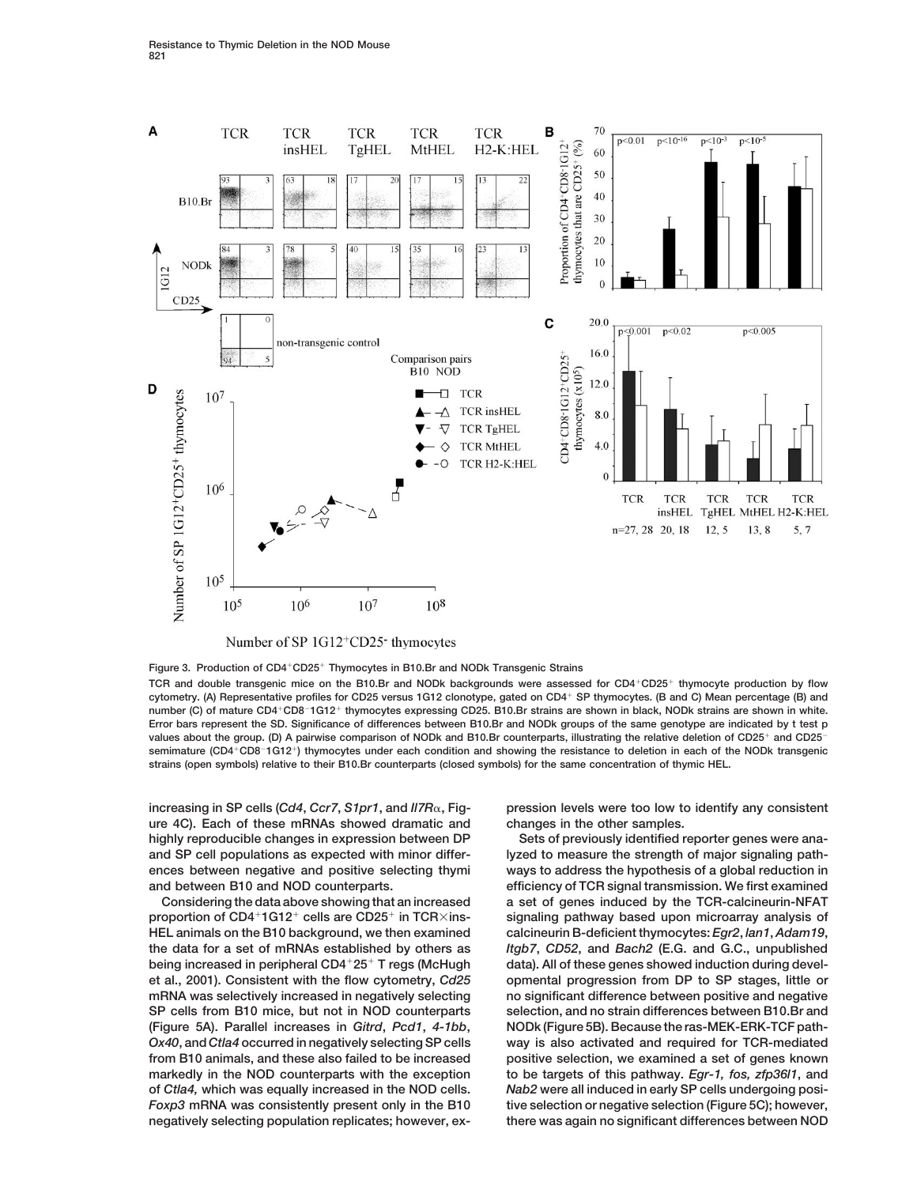

Number of SP 1G12<sup>+</sup>CD25<sup>-</sup> thymocytes

**Figure 3. Production of CD4CD25 Thymocytes in B10.Br and NODk Transgenic Strains TCR and double transgenic mice on the B10.Br and NODk backgrounds were assessed for CD4CD25 thymocyte production by flow cytometry. (A) Representative profiles for CD25 versus 1G12 clonotype, gated on CD4 SP thymocytes. (B and C) Mean percentage (B) and number (C) of mature CD4CD8**-**1G12 thymocytes expressing CD25. B10.Br strains are shown in black, NODk strains are shown in white. Error bars represent the SD. Significance of differences between B10.Br and NODk groups of the same genotype are indicated by t test p values about the group. (D) A pairwise comparison of NODk and B10.Br counterparts, illustrating the relative deletion of CD25 and CD25 semimature (CD4CD8**-**1G12) thymocytes under each condition and showing the resistance to deletion in each of the NODk transgenic strains (open symbols) relative to their B10.Br counterparts (closed symbols) for the same concentration of thymic HEL.**

**ure 4C). Each of these mRNAs showed dramatic and changes in the other samples. highly reproducible changes in expression between DP Sets of previously identified reporter genes were anaand SP cell populations as expected with minor differ- lyzed to measure the strength of major signaling pathand between B10 and NOD counterparts. efficiency of TCR signal transmission. We first examined**

**proportion of CD4+1G12+ cells are CD25+ in TCR** $\times$ ins-<br> **1G12 in Signaling pathway based upon microarray analysis of HEL animals on the B10 background, we then examined calcineurin B-deficient thymocytes:** *Egr2***,** *lan1***,** *Adam19***, the data for a set of mRNAs established by others as** *Itgb7***,** *CD52***, and** *Bach2* **(E.G. and G.C., unpublished** being increased in peripheral CD4<sup>+</sup>25<sup>+</sup> T regs (McHugh data). All of these genes showed induction during devel**et al., 2001). Consistent with the flow cytometry,** *Cd25* **opmental progression from DP to SP stages, little or mRNA was selectively increased in negatively selecting no significant difference between positive and negative SP cells from B10 mice, but not in NOD counterparts selection, and no strain differences between B10.Br and (Figure 5A). Parallel increases in** *Gitrd***,** *Pcd1***,** *4-1bb***, NODk (Figure 5B). Because the ras-MEK-ERK-TCF path-***Ox40***, and** *Ctla4* **occurred in negatively selecting SP cells way is also activated and required for TCR-mediated from B10 animals, and these also failed to be increased positive selection, we examined a set of genes known markedly in the NOD counterparts with the exception to be targets of this pathway.** *Egr-1, fos, zfp36l1***, and of** *Ctla4,* **which was equally increased in the NOD cells.** *Nab2* **were all induced in early SP cells undergoing posi-***Foxp3* **mRNA was consistently present only in the B10 tive selection or negative selection (Figure 5C); however, negatively selecting population replicates; however, ex- there was again no significant differences between NOD**

**increasing in SP cells (***Cd4***,** *Ccr7***,** *S1pr1***, and** *Il7R***, Fig- pression levels were too low to identify any consistent**

**ences between negative and positive selecting thymi ways to address the hypothesis of a global reduction in Considering the data above showing that an increased a set of genes induced by the TCR-calcineurin-NFAT**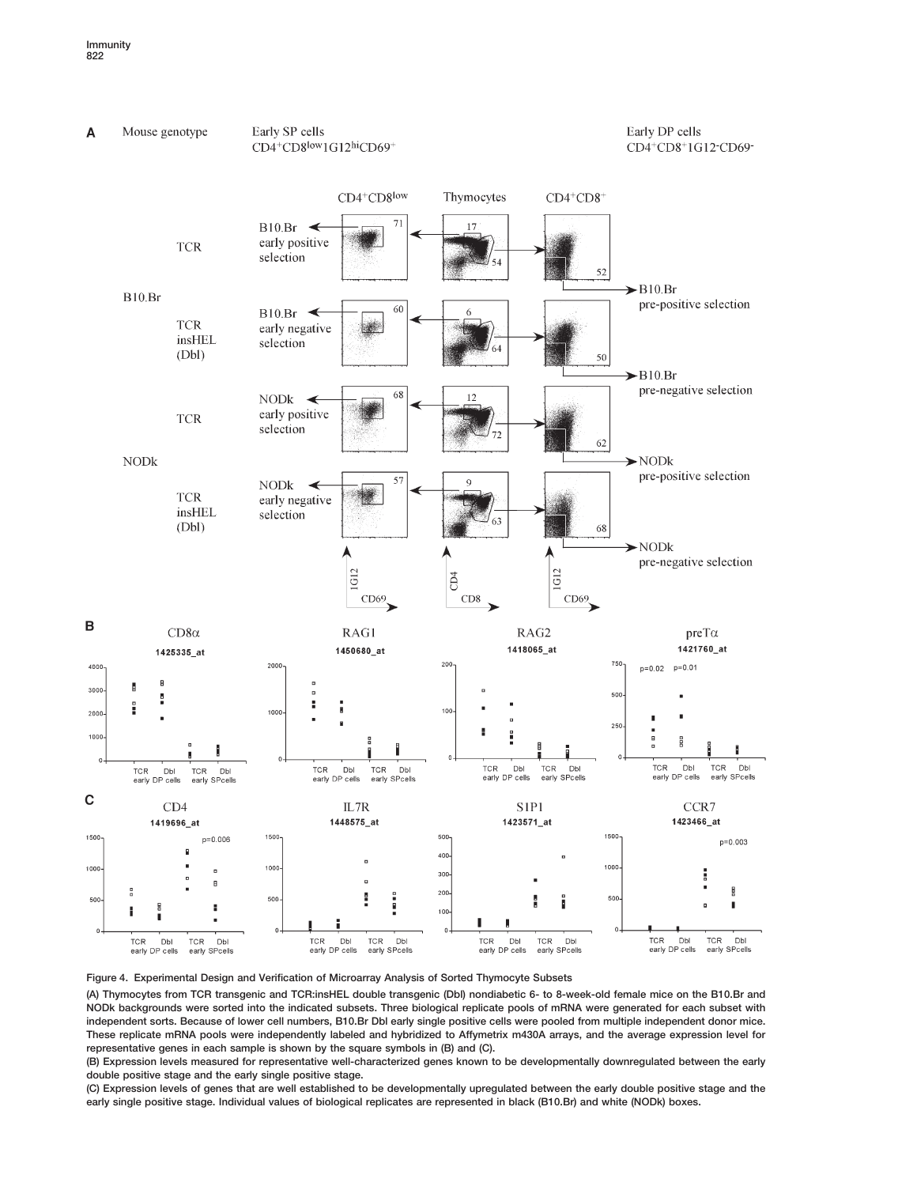



**(A) Thymocytes from TCR transgenic and TCR:insHEL double transgenic (Dbl) nondiabetic 6- to 8-week-old female mice on the B10.Br and NODk backgrounds were sorted into the indicated subsets. Three biological replicate pools of mRNA were generated for each subset with independent sorts. Because of lower cell numbers, B10.Br Dbl early single positive cells were pooled from multiple independent donor mice. These replicate mRNA pools were independently labeled and hybridized to Affymetrix m430A arrays, and the average expression level for representative genes in each sample is shown by the square symbols in (B) and (C).**

**(B) Expression levels measured for representative well-characterized genes known to be developmentally downregulated between the early double positive stage and the early single positive stage.**

**(C) Expression levels of genes that are well established to be developmentally upregulated between the early double positive stage and the early single positive stage. Individual values of biological replicates are represented in black (B10.Br) and white (NODk) boxes.**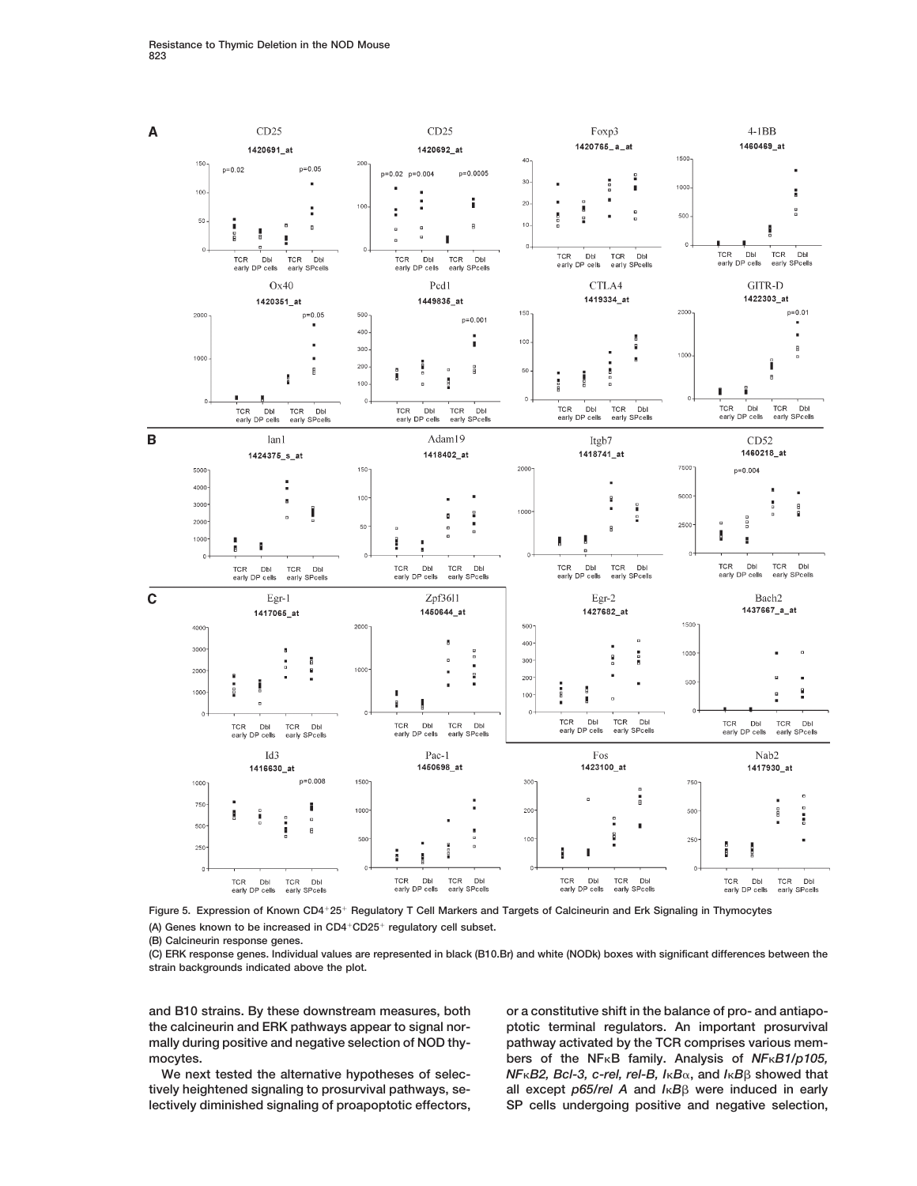

**Figure 5. Expression of Known CD425 Regulatory T Cell Markers and Targets of Calcineurin and Erk Signaling in Thymocytes (A) Genes known to be increased in CD4CD25 regulatory cell subset.**

**(B) Calcineurin response genes.**

**(C) ERK response genes. Individual values are represented in black (B10.Br) and white (NODk) boxes with significant differences between the strain backgrounds indicated above the plot.**

**and B10 strains. By these downstream measures, both or a constitutive shift in the balance of pro- and antiapo-**

**the calcineurin and ERK pathways appear to signal nor- ptotic terminal regulators. An important prosurvival mally during positive and negative selection of NOD thy- pathway activated by the TCR comprises various memhers of the NF**<sub>K</sub>B family. Analysis of *NF*<sub>K</sub>B1/p105, **We next tested the alternative hypotheses of selec-** *NFB2, Bcl-3, c-rel, rel-B, IB***, and** *IB* **showed that tively heightened signaling to prosurvival pathways, se- all except** *p65/rel A* **and** *IB* **were induced in early lectively diminished signaling of proapoptotic effectors, SP cells undergoing positive and negative selection,**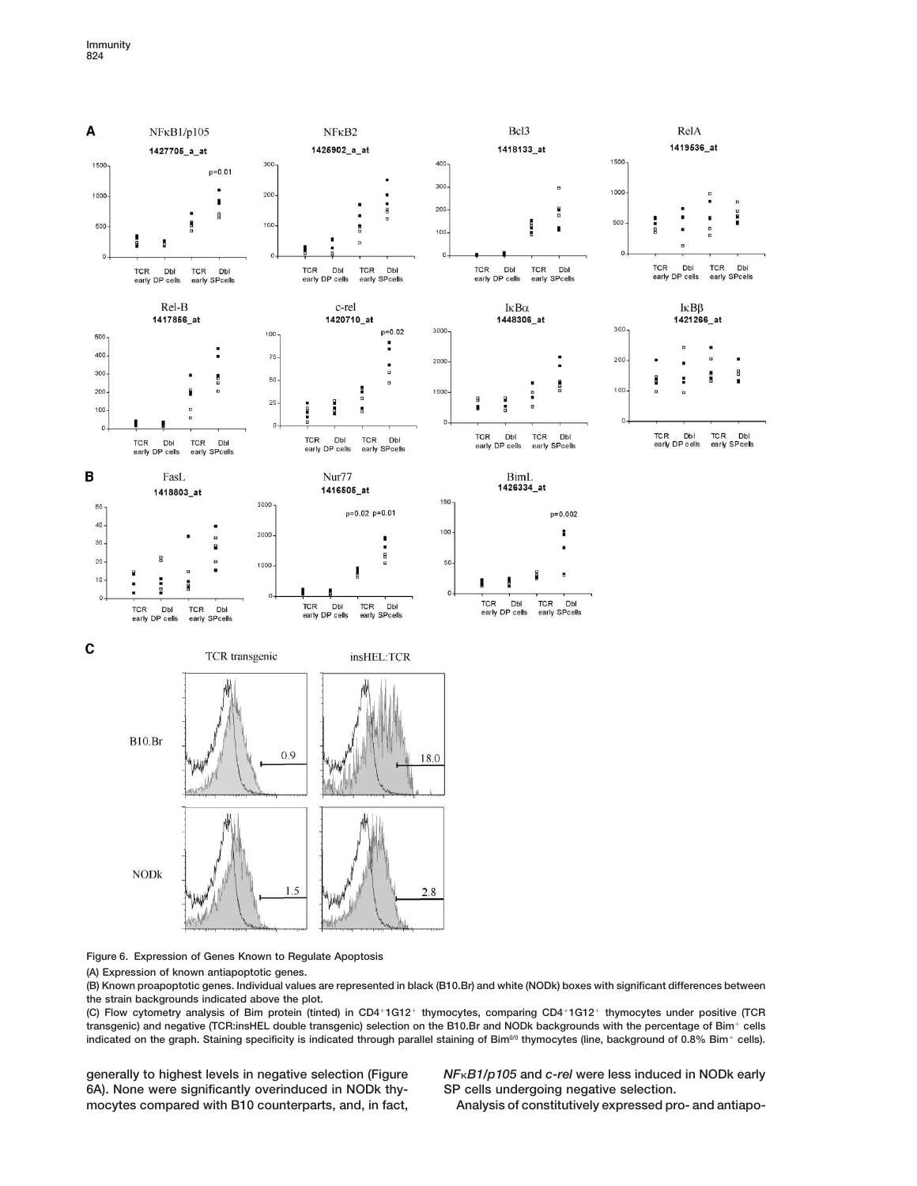

**Figure 6. Expression of Genes Known to Regulate Apoptosis**

**(A) Expression of known antiapoptotic genes.**

**(B) Known proapoptotic genes. Individual values are represented in black (B10.Br) and white (NODk) boxes with significant differences between the strain backgrounds indicated above the plot.**

**(C) Flow cytometry analysis of Bim protein (tinted) in CD41G12 thymocytes, comparing CD41G12 thymocytes under positive (TCR transgenic) and negative (TCR:insHEL double transgenic) selection on the B10.Br and NODk backgrounds with the percentage of Bim cells** indicated on the graph. Staining specificity is indicated through parallel staining of Bim<sup>0/0</sup> thymocytes (line, background of 0.8% Bim<sup>+</sup> cells).

**6A). None were significantly overinduced in NODk thy- SP cells undergoing negative selection. mocytes compared with B10 counterparts, and, in fact, Analysis of constitutively expressed pro- and antiapo-**

**generally to highest levels in negative selection (Figure** *NFB1/p105* **and** *c-rel* **were less induced in NODk early**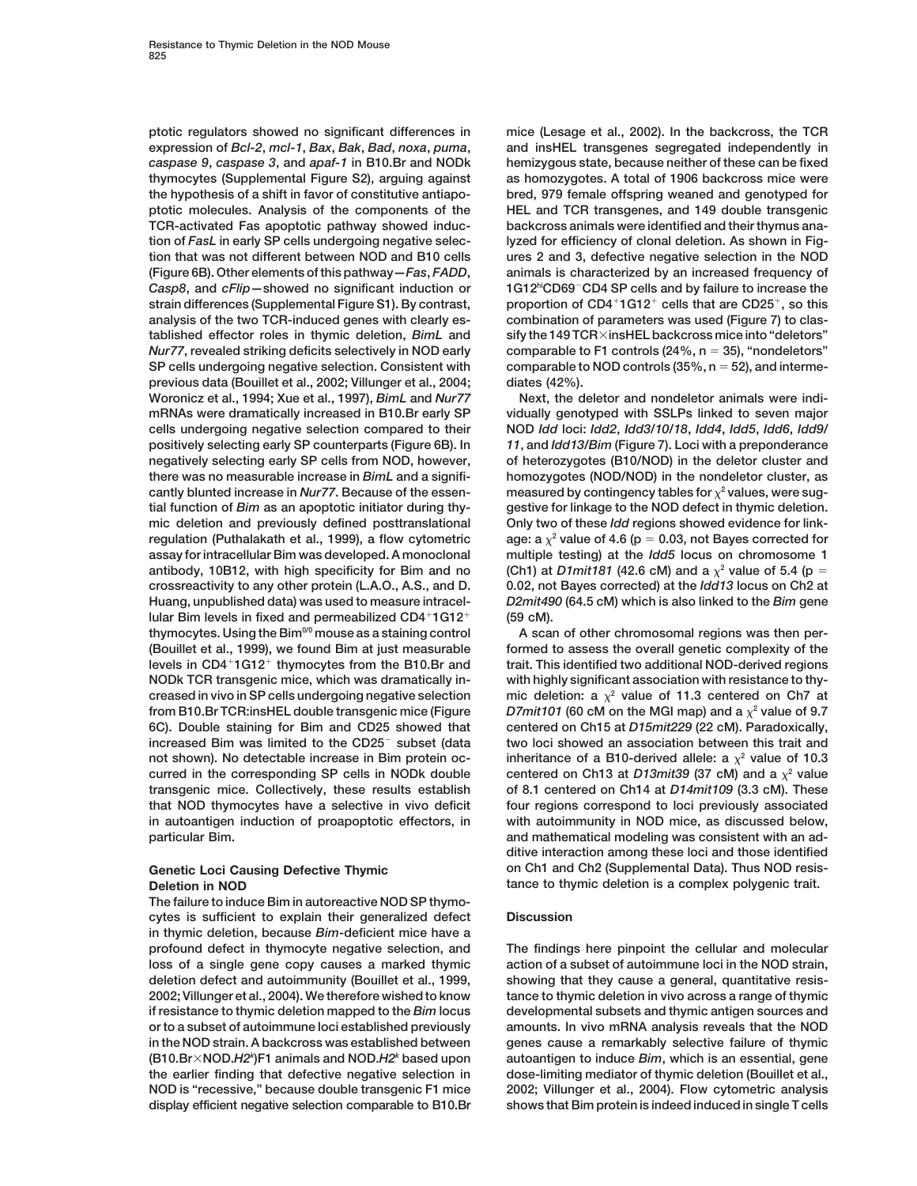**expression of** *Bcl-2***,** *mcl-1***,** *Bax***,** *Bak***,** *Bad***,** *noxa***,** *puma***, and insHEL transgenes segregated independently in** *caspase 9***,** *caspase 3***, and** *apaf-1* **in B10.Br and NODk hemizygous state, because neither of these can be fixed thymocytes (Supplemental Figure S2), arguing against as homozygotes. A total of 1906 backcross mice were the hypothesis of a shift in favor of constitutive antiapo- bred, 979 female offspring weaned and genotyped for ptotic molecules. Analysis of the components of the HEL and TCR transgenes, and 149 double transgenic TCR-activated Fas apoptotic pathway showed induc- backcross animals were identified and their thymus anation of** *FasL* **in early SP cells undergoing negative selec- lyzed for efficiency of clonal deletion. As shown in Figtion that was not different between NOD and B10 cells ures 2 and 3, defective negative selection in the NOD (Figure 6B). Other elements of this pathway—***Fas***,** *FADD***, animals is characterized by an increased frequency of** *Casp8*, and *cFlip* – showed no significant induction or **proportion of CD41G12 cells that are CD25 strain differences (Supplemental Figure S1). By contrast, , so this analysis of the two TCR-induced genes with clearly es- combination of parameters was used (Figure 7) to clastablished effector roles in thymic deletion,** *BimL* **and sify the 149 TCRinsHEL backcross mice into "deletors"** *Nur77***, revealed striking deficits selectively in NOD early comparable to F1 controls (24%, n 35), "nondeletors" SP cells undergoing negative selection. Consistent with comparable to NOD controls (35%, n 52), and intermeprevious data (Bouillet et al., 2002; Villunger et al., 2004; diates (42%). Woronicz et al., 1994; Xue et al., 1997),** *BimL* **and** *Nur77* **Next, the deletor and nondeletor animals were indimRNAs were dramatically increased in B10.Br early SP vidually genotyped with SSLPs linked to seven major cells undergoing negative selection compared to their NOD** *Idd* **loci:** *Idd2***,** *Idd3/10/18***,** *Idd4***,** *Idd5***,** *Idd6***,** *Idd9/* **positively selecting early SP counterparts (Figure 6B). In** *11***, and** *Idd13/Bim* **(Figure 7). Loci with a preponderance negatively selecting early SP cells from NOD, however, of heterozygotes (B10/NOD) in the deletor cluster and there was no measurable increase in** *BimL* **and a signifi- homozygotes (NOD/NOD) in the nondeletor cluster, as** cantly blunted increase in Nur77. Because of the essen-<br>measured by contingency tables for  $\chi^2$  values, were sug**tial function of** *Bim* **as an apoptotic initiator during thy- gestive for linkage to the NOD defect in thymic deletion. mic deletion and previously defined posttranslational Only two of these** *Idd* **regions showed evidence for linkregulation (Puthalakath et al., 1999), a flow cytometric** age: a  $\chi^2$  value of 4.6 ( $p = 0.03$ , not Bayes corrected for **assay for intracellular Bim was developed. A monoclonal multiple testing) at the** *Idd5* **locus on chromosome 1 antibody, 10B12, with high specificity for Bim and no** (Ch1) at *D1mit181* (42.6 cM) and a  $\chi^2$  value of 5.4 (p = **crossreactivity to any other protein (L.A.O., A.S., and D. 0.02, not Bayes corrected) at the** *Idd13* **locus on Ch2 at Huang, unpublished data) was used to measure intracel-** *D2mit490* **(64.5 cM) which is also linked to the** *Bim* **gene** lular Bim levels in fixed and permeabilized CD4<sup>+</sup>1G12<sup>+</sup> (59 cM). **thymocytes. Using the Bim0/0 mouse as a staining control A scan of other chromosomal regions was then per- (Bouillet et al., 1999), we found Bim at just measurable formed to assess the overall genetic complexity of the levels in CD41G12 thymocytes from the B10.Br and trait. This identified two additional NOD-derived regions NODk TCR transgenic mice, which was dramatically in- with highly significant association with resistance to thy**creased in vivo in SP cells undergoing negative selection mic deletion:  $a \chi^2$  value of 11.3 centered on Ch7 at from B10.Br TCR:insHEL double transgenic mice (Figure  $D7$ mit101 (60 cM on the MGI map) and a  $\chi^2$  value of 9.7 **6C). Double staining for Bim and CD25 showed that centered on Ch15 at** *D15mit229* **(22 cM). Paradoxically,** increased Bim was limited to the CD25<sup>-</sup> subset (data two loci showed an association between this trait and **not shown). No detectable increase in Bim protein oc- inheritance of a B10-derived allele: a <sup>2</sup> value of 10.3 curred in the corresponding SP cells in NODk double centered on Ch13 at D13mit39 (37 cM) and a**  $\chi^2$  value **transgenic mice. Collectively, these results establish of 8.1 centered on Ch14 at** *D14mit109* **(3.3 cM). These that NOD thymocytes have a selective in vivo deficit four regions correspond to loci previously associated in autoantigen induction of proapoptotic effectors, in with autoimmunity in NOD mice, as discussed below, particular Bim. and mathematical modeling was consistent with an ad-**

**The failure to induce Bim in autoreactive NOD SP thymocytes is sufficient to explain their generalized defect Discussion in thymic deletion, because** *Bim***-deficient mice have a profound defect in thymocyte negative selection, and The findings here pinpoint the cellular and molecular loss of a single gene copy causes a marked thymic action of a subset of autoimmune loci in the NOD strain, deletion defect and autoimmunity (Bouillet et al., 1999, showing that they cause a general, quantitative resis-2002; Villunger et al., 2004). We therefore wished to know tance to thymic deletion in vivo across a range of thymic if resistance to thymic deletion mapped to the** *Bim* **locus developmental subsets and thymic antigen sources and or to a subset of autoimmune loci established previously amounts. In vivo mRNA analysis reveals that the NOD in the NOD strain. A backcross was established between genes cause a remarkably selective failure of thymic )F1 animals and NOD.***H2k* **based upon the earlier finding that defective negative selection in dose-limiting mediator of thymic deletion (Bouillet et al., NOD is "recessive," because double transgenic F1 mice 2002; Villunger et al., 2004). Flow cytometric analysis display efficient negative selection comparable to B10.Br shows that Bim protein is indeed induced in single T cells**

**ptotic regulators showed no significant differences in mice (Lesage et al., 2002). In the backcross, the TCR** 1G12<sup>hi</sup>CD69<sup>-</sup>CD4 SP cells and by failure to increase the

**ditive interaction among these loci and those identified Genetic Loci Causing Defective Thymic on Ch1 and Ch2 (Supplemental Data). Thus NOD resis-Deletion in NOD tance to thymic deletion is a complex polygenic trait.** 

**(B10.BrNOD.***H2* **autoantigen to induce** *Bim***, which is an essential, gene** *<sup>k</sup>*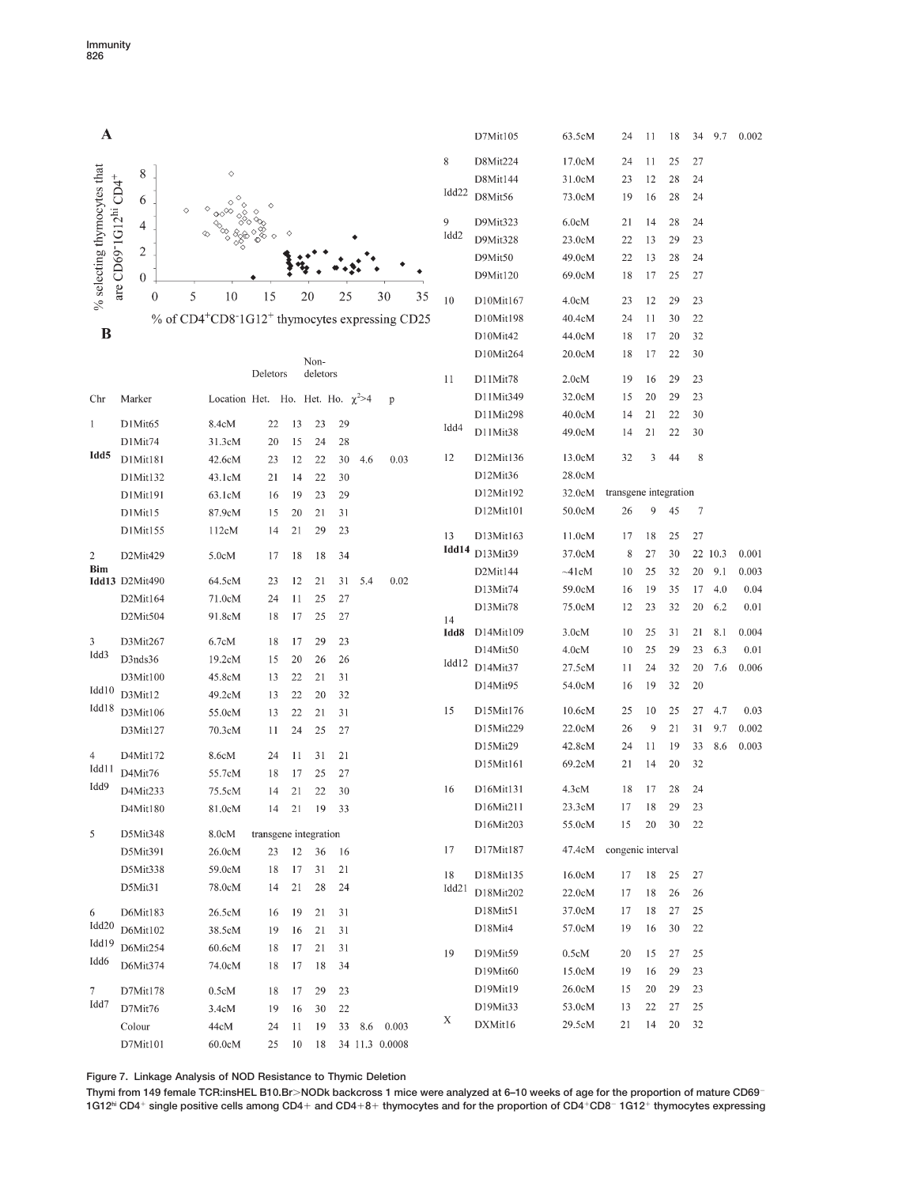

**Figure 7. Linkage Analysis of NOD Resistance to Thymic Deletion**

**Thymi from 149 female TCR:insHEL B10.BrNODk backcross 1 mice were analyzed at 6–10 weeks of age for the proportion of mature CD69**- **1G12hi CD4 single positive cells among CD4 and CD48 thymocytes and for the proportion of CD4CD8**- **1G12 thymocytes expressing**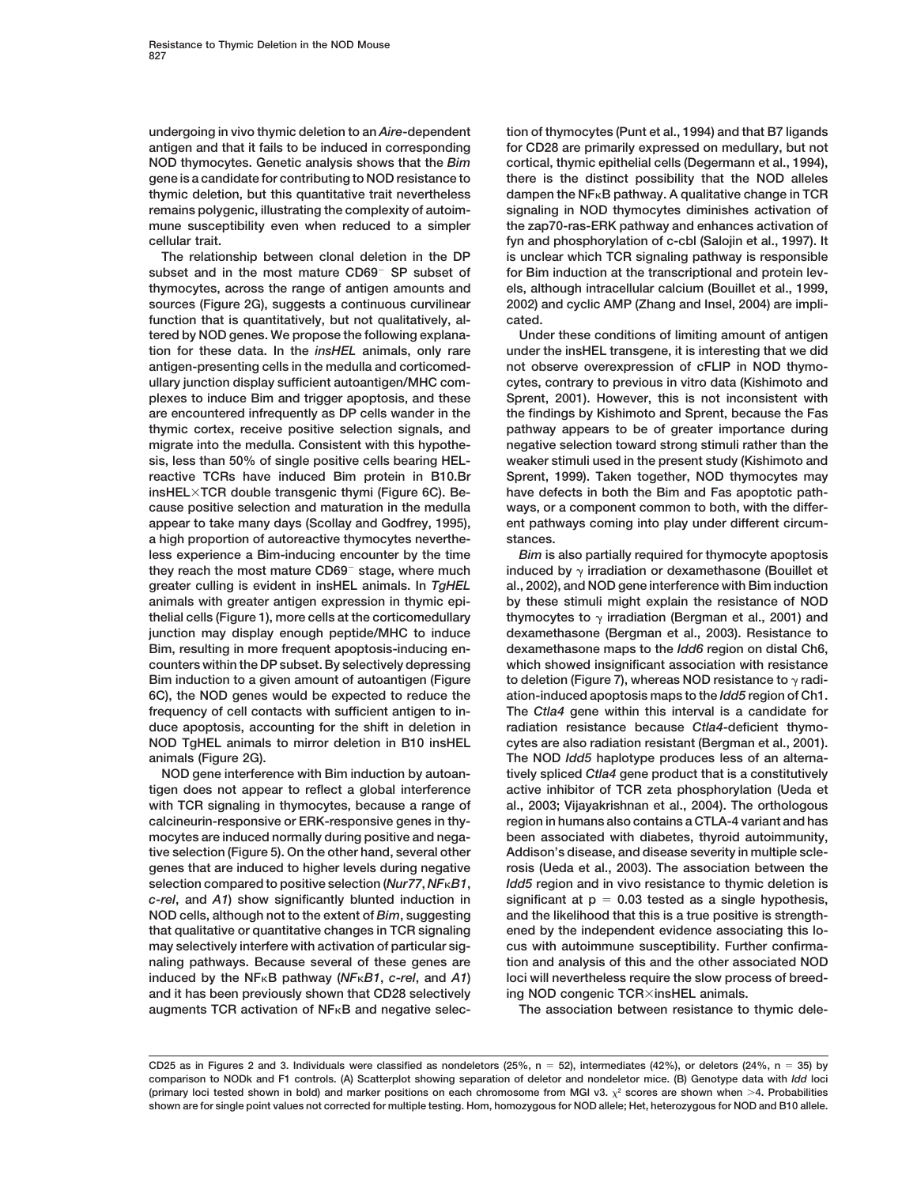**NOD thymocytes. Genetic analysis shows that the** *Bim* **cortical, thymic epithelial cells (Degermann et al., 1994), gene is a candidate for contributing to NOD resistance to there is the distinct possibility that the NOD alleles remains polygenic, illustrating the complexity of autoim- signaling in NOD thymocytes diminishes activation of** mune susceptibility even when reduced to a simpler the zap70-ras-ERK pathway and enhances activation of

subset and in the most mature CD69<sup>-</sup> SP subset of **thymocytes, across the range of antigen amounts and els, although intracellular calcium (Bouillet et al., 1999, sources (Figure 2G), suggests a continuous curvilinear 2002) and cyclic AMP (Zhang and Insel, 2004) are implifunction that is quantitatively, but not qualitatively, al- cated. tered by NOD genes. We propose the following explana- Under these conditions of limiting amount of antigen tion for these data. In the** *insHEL* **animals, only rare under the insHEL transgene, it is interesting that we did antigen-presenting cells in the medulla and corticomed- not observe overexpression of cFLIP in NOD thymoullary junction display sufficient autoantigen/MHC com- cytes, contrary to previous in vitro data (Kishimoto and plexes to induce Bim and trigger apoptosis, and these Sprent, 2001). However, this is not inconsistent with are encountered infrequently as DP cells wander in the the findings by Kishimoto and Sprent, because the Fas thymic cortex, receive positive selection signals, and pathway appears to be of greater importance during migrate into the medulla. Consistent with this hypothe- negative selection toward strong stimuli rather than the sis, less than 50% of single positive cells bearing HEL- weaker stimuli used in the present study (Kishimoto and reactive TCRs have induced Bim protein in B10.Br Sprent, 1999). Taken together, NOD thymocytes may insHELTCR double transgenic thymi (Figure 6C). Be- have defects in both the Bim and Fas apoptotic pathcause positive selection and maturation in the medulla ways, or a component common to both, with the differappear to take many days (Scollay and Godfrey, 1995), ent pathways coming into play under different circuma high proportion of autoreactive thymocytes neverthe- stances. less experience a Bim-inducing encounter by the time** *Bim* **is also partially required for thymocyte apoptosis** they reach the most mature CD69<sup>-</sup> stage, where much induced by  $\gamma$ **greater culling is evident in insHEL animals. In** *TgHEL* **al., 2002), and NOD gene interference with Bim induction animals with greater antigen expression in thymic epi- by these stimuli might explain the resistance of NOD thelial cells (Figure 1), more cells at the corticomedullary thymocytes to junction may display enough peptide/MHC to induce dexamethasone (Bergman et al., 2003). Resistance to Bim, resulting in more frequent apoptosis-inducing en- dexamethasone maps to the** *Idd6* **region on distal Ch6, counters within the DP subset. By selectively depressing which showed insignificant association with resistance Bim induction to a given amount of autoantigen (Figure 6C), the NOD genes would be expected to reduce the ation-induced apoptosis maps to the** *Idd5* **region of Ch1. frequency of cell contacts with sufficient antigen to in- The** *Ctla4* **gene within this interval is a candidate for duce apoptosis, accounting for the shift in deletion in radiation resistance because** *Ctla4***-deficient thymo-NOD TgHEL animals to mirror deletion in B10 insHEL cytes are also radiation resistant (Bergman et al., 2001).**

**tigen does not appear to reflect a global interference active inhibitor of TCR zeta phosphorylation (Ueda et with TCR signaling in thymocytes, because a range of al., 2003; Vijayakrishnan et al., 2004). The orthologous calcineurin-responsive or ERK-responsive genes in thy- region in humans also contains a CTLA-4 variant and has mocytes are induced normally during positive and nega- been associated with diabetes, thyroid autoimmunity,** tive selection (Figure 5). On the other hand, several other Addison's disease, and disease severity in multiple scle**genes that are induced to higher levels during negative rosis (Ueda et al., 2003). The association between the selection compared to positive selection (***Nur77***,** *NFB1***,** *Idd5* **region and in vivo resistance to thymic deletion is** *c-rel***, and** *A1***) show significantly blunted induction in significant at p 0.03 tested as a single hypothesis, NOD cells, although not to the extent of** *Bim***, suggesting and the likelihood that this is a true positive is strengththat qualitative or quantitative changes in TCR signaling ened by the independent evidence associating this lomay selectively interfere with activation of particular sig- cus with autoimmune susceptibility. Further confirmanaling pathways. Because several of these genes are tion and analysis of this and the other associated NOD induced by the NFB pathway (***NFB1***,** *c-rel***, and** *A1***) loci will nevertheless require the slow process of breedand it has been previously shown that CD28 selectively ing NOD congenic TCRinsHEL animals.**

**undergoing in vivo thymic deletion to an** *Aire***-dependent tion of thymocytes (Punt et al., 1994) and that B7 ligands antigen and that it fails to be induced in corresponding for CD28 are primarily expressed on medullary, but not thymic deletion, but this quantitative trait nevertheless** dampen the NF<sub><sup>**B pathway. A qualitative change in TCR**</sub></sup> **cellular trait. fyn and phosphorylation of c-cbl (Salojin et al., 1997). It The relationship between clonal deletion in the DP is unclear which TCR signaling pathway is responsible** for Bim induction at the transcriptional and protein lev-

induced by  $\gamma$  irradiation or dexamethasone (Bouillet et thymocytes to  $\gamma$  irradiation (Bergman et al., 2001) and to deletion (Figure 7), whereas NOD resistance to  $\gamma$  radi**animals (Figure 2G). The NOD** *Idd5* **haplotype produces less of an alterna-NOD gene interference with Bim induction by autoan- tively spliced** *Ctla4* **gene product that is a constitutively**

**augments TCR activation of NFB and negative selec- The association between resistance to thymic dele-**

**CD25 as in Figures 2 and 3. Individuals were classified as nondeletors (25%, n 52), intermediates (42%), or deletors (24%, n 35) by comparison to NODk and F1 controls. (A) Scatterplot showing separation of deletor and nondeletor mice. (B) Genotype data with** *Idd* **loci** (primary loci tested shown in bold) and marker positions on each chromosome from MGI v3.  $\chi^2$  scores are shown when  $>4$ . Probabilities **shown are for single point values not corrected for multiple testing. Hom, homozygous for NOD allele; Het, heterozygous for NOD and B10 allele.**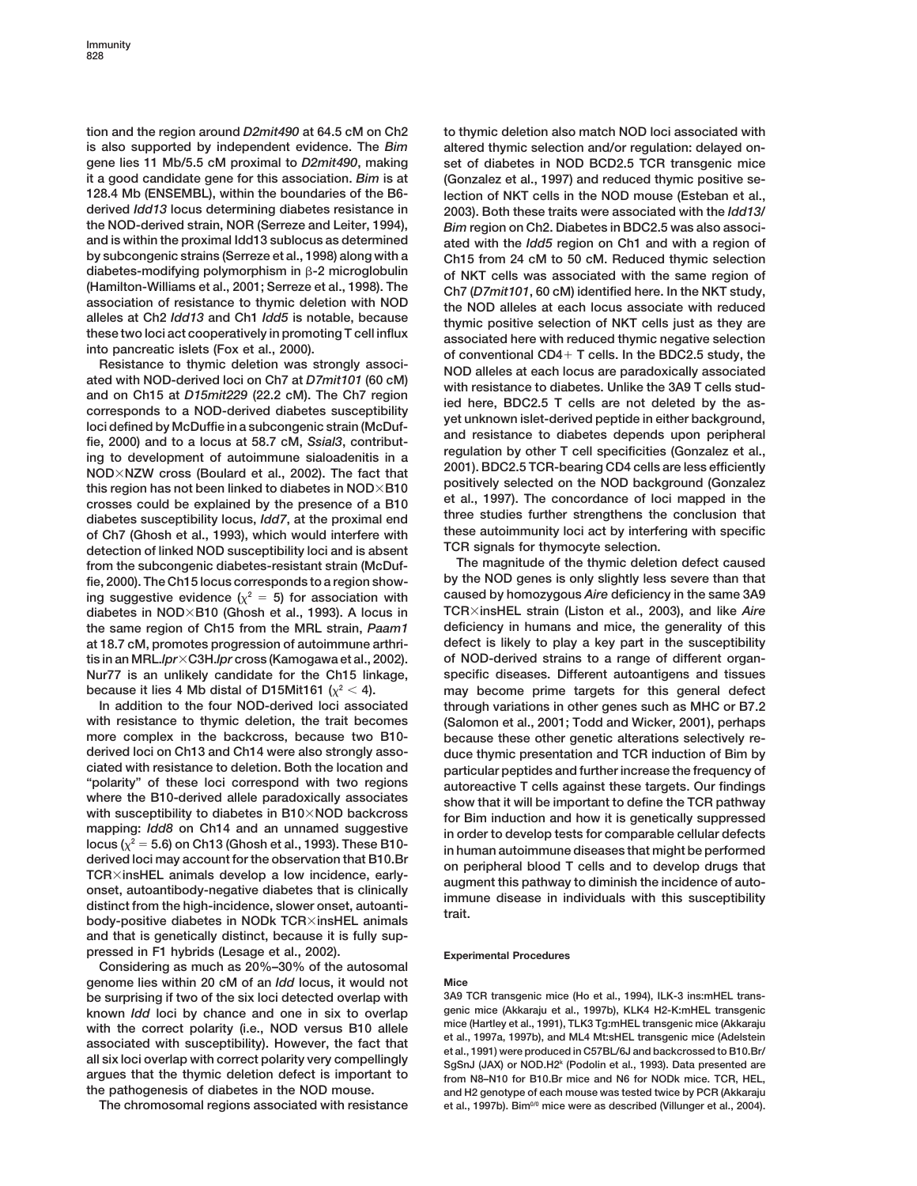**is also supported by independent evidence. The** *Bim* **altered thymic selection and/or regulation: delayed ongene lies 11 Mb/5.5 cM proximal to** *D2mit490***, making set of diabetes in NOD BCD2.5 TCR transgenic mice it a good candidate gene for this association.** *Bim* **is at (Gonzalez et al., 1997) and reduced thymic positive se-128.4 Mb (ENSEMBL), within the boundaries of the B6- lection of NKT cells in the NOD mouse (Esteban et al., derived** *Idd13* **locus determining diabetes resistance in 2003). Both these traits were associated with the** *Idd13/* **the NOD-derived strain, NOR (Serreze and Leiter, 1994),** *Bim* **region on Ch2. Diabetes in BDC2.5 was also associby subcongenic strains (Serreze et al., 1998) along with a Ch15 from 24 cM to 50 cM. Reduced thymic selection** diabetes-modifying polymorphism in  $\beta$ -2 microglobulin<br>
(Hamilton-Williams et al., 2001; Serreze et al., 1998). The<br>
association of resistance to thymic deletion with NOD<br>
alleles at each locus associate with reduced<br>
al

this region has not been linked to diabetes in NOD×B10<br>
crosses could be explained by the presence of a B10<br>
diabetes susceptibility locus, *Idd7*, at the proximal end<br>
of Ch7 (Ghosh et al., 1993), which would interfere wi **from the subcongenic diabetes-resistant strain (McDuf- The magnitude of the thymic deletion defect caused** fie, 2000). The Ch15 locus corresponds to a region showing suggestive evidence  $(\chi^2 = 5)$  for association with caused by homozygous *Aire* deficiency in the same 3A9 **diabetes in NODB10 (Ghosh et al., 1993). A locus in TCRinsHEL strain (Liston et al., 2003), and like** *Aire* **the same region of Ch15 from the MRL strain,** *Paam1* **deficiency in humans and mice, the generality of this at 18.7 cM, promotes progression of autoimmune arthri- defect is likely to play a key part in the susceptibility tis in an MRL.***lpr***C3H.***lpr* **cross (Kamogawa et al., 2002). of NOD-derived strains to a range of different organ-Nur77 is an unlikely candidate for the Ch15 linkage, specific diseases. Different autoantigens and tissues because it lies 4 Mb distal of D15Mit161** ( $\chi^2$  < 4). The may become prime targets for this general defect

**with resistance to thymic deletion, the trait becomes (Salomon et al., 2001; Todd and Wicker, 2001), perhaps** more complex in the backcross, because two B10-<br>derived loci on Ch13 and Ch14 were also strongly asso-<br>duce thymic presentation and TCR induction of Bim by **ciated with resistance to deletion. Both the location and particular peptides and further increase the frequency of** "polarity" of these loci correspond with two regions<br>
where the B10-derived allele paradoxically associates<br>
with susceptibility to diabetes in B10×NOD backcross<br>
mapping: *ldd8* on Ch14 and an unnamed suggestive<br>
locus ( **and that is genetically distinct, because it is fully suppressed in F1 hybrids (Lesage et al., 2002). Experimental Procedures**

**Considering as much as 20%–30% of the autosomal genome lies within 20 cM of an** *Idd* **locus, it would not Mice be surprising if two of the six loci detected overlap with 3A9 TCR transgenic mice (Ho et al., 1994), ILK-3 ins:mHEL trans**known *Idd* loci by chance and one in six to overlap<br>with the correct polarity (i.e., NOD versus B10 allele<br>associated with susceptibility). However, the fact that<br>all six loci overlap with correct polarity very compelling

**tion and the region around** *D2mit490* **at 64.5 cM on Ch2 to thymic deletion also match NOD loci associated with** ated with the *Idd5* region on Ch1 and with a region of alleles at Ch2 *ldd13* and Ch1 *ldd5* is notable, because<br>these two loci act cooperatively in promoting T cell influx<br>into parcetatic islets (Fox et al., 2000).<br>Resistance to thymic deletion was strongly associated here wi

**In addition to the four NOD-derived loci associated through variations in other genes such as MHC or B7.2** duce thymic presentation and TCR induction of Bim by

**the pathogenesis of diabetes in the NOD mouse. and H2 genotype of each mouse was tested twice by PCR (Akkaraju** The chromosomal regions associated with resistance et al., 1997b). Bim<sup>00</sup> mice were as described (Villunger et al., 2004).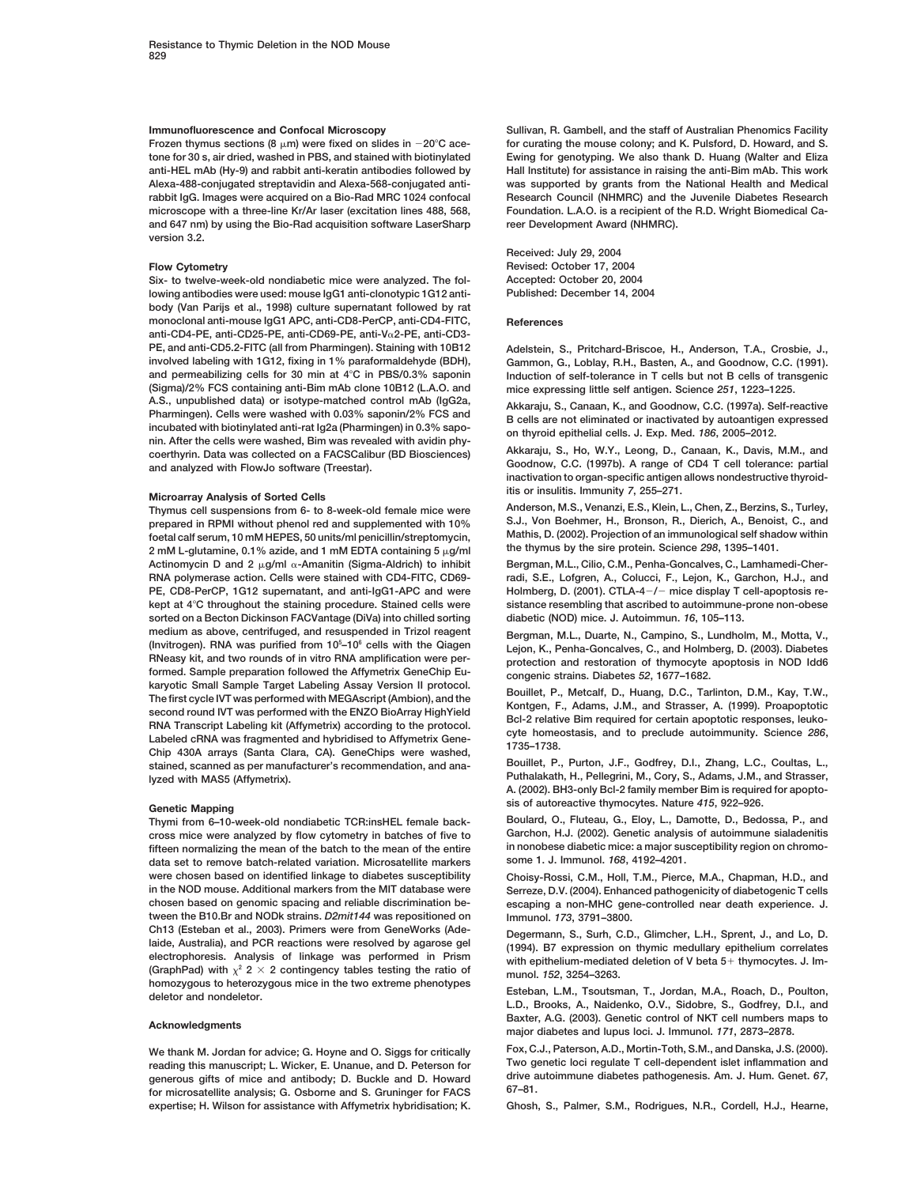Frozen thymus sections (8  $\mu$ m) were fixed on slides in  $-20^{\circ}$ C ace**tone for 30 s, air dried, washed in PBS, and stained with biotinylated Ewing for genotyping. We also thank D. Huang (Walter and Eliza Alexa-488-conjugated streptavidin and Alexa-568-conjugated anti- was supported by grants from the National Health and Medical rabbit IgG. Images were acquired on a Bio-Rad MRC 1024 confocal Research Council (NHMRC) and the Juvenile Diabetes Research** microscope with a three-line Kr/Ar laser (excitation lines 488, 568. Foundation, L.A.O. is a recipient of the R.D. Wright Biomedical Ca**and 647 nm) by using the Bio-Rad acquisition software LaserSharp reer Development Award (NHMRC). version 3.2.**

**Six- to twelve-week-old nondiabetic mice were analyzed. The fol- Accepted: October 20, 2004 lowing antibodies were used: mouse IgG1 anti-clonotypic 1G12 anti- Published: December 14, 2004 body (Van Parijs et al., 1998) culture supernatant followed by rat monoclonal anti-mouse IgG1 APC, anti-CD8-PerCP, anti-CD4-FITC, References anti-CD4-PE, anti-CD25-PE, anti-CD69-PE, anti-V2-PE, anti-CD3- PE, and anti-CD5.2-FITC (all from Pharmingen). Staining with 10B12 Adelstein, S., Pritchard-Briscoe, H., Anderson, T.A., Crosbie, J., involved labeling with 1G12, fixing in 1% paraformaldehyde (BDH), Gammon, G., Loblay, R.H., Basten, A., and Goodnow, C.C. (1991).** and permeabilizing cells for 30 min at 4°C in PBS/0.3% saponin<br>(Sigma)/2% FCS containing anti-Bim mAb clone 10B12 (L.A.O. and mice expressing little self antigen, Science 251, 1223–1225, **(Sigma)/2% FCS containing anti-Bim mAb clone 10B12 (L.A.O. and mice expressing little self antigen. Science** *251***, 1223–1225.** A.S., unpublished data) or isotype-matched control mAb (lgG2a,<br>
Pharmingen). Cells were washed with 0.03% saponin/2% FCS and<br>
incubated with biotinylated anti-rat lg2a (Pharmingen) in 0.3% sapo-<br>
incubated with biotinylate

**Prepared in RPMI without phenol red and supplemented with 10%** S.J., Von Boehmer, H., Bronson, R., Dierich, A., Benoist, C., and<br> **Mathis. D. (2002).** Projection of an immunological self shadow within the set of projectio foetal calf serum, 10 mM HEPES, 50 units/ml penicillin/streptomycin, Mathis, D. (2002). Projection of an immunological self shad<br>2 mM L-glutamine, 0.1% azide, and 1 mM FDTA containing 5 ug/ml the thymus by the sire protein **the thymus by the sire protein. Science** *298***, 1395–1401. 2 mM L-glutamine, 0.1% azide, and 1 mM EDTA containing 5 g/ml Actinomycin D and 2 g/ml -Amanitin (Sigma-Aldrich) to inhibit Bergman, M.L., Cilio, C.M., Penha-Goncalves, C., Lamhamedi-Cher-RNA polymerase action. Cells were stained with CD4-FITC, CD69- radi, S.E., Lofgren, A., Colucci, F., Lejon, K., Garchon, H.J., and** PE, CD8-PerCP, 1G12 supernatant, and anti-IgG1-APC and were **kept at 4 C throughout the staining procedure. Stained cells were sistance resembling that ascribed to autoimmune-prone non-obese sorted on a Becton Dickinson FACVantage (DiVa) into chilled sorting diabetic (NOD) mice. J. Autoimmun.** *16***, 105–113. medium as above, centrifuged, and resuspended in Trizol reagent Bergman, M.L., Duarte, N., Campino, S., Lundholm, M., Motta, V.,** (Invitrogen). RNA was purified from 10<sup>5</sup>-10<sup>6</sup> cells with the Qiagen **–106 cells with the Qiagen Lejon, K., Penha-Goncalves, C., and Holmberg, D. (2003). Diabetes formed. Sample preparation followed the Affymetrix GeneChip Eu- congenic strains. Diabetes** *52***, 1677–1682.** xaryotic Small Sample Target Labeling Assay Version II protocol.<br>
The first cycle IVT was performed with MEGAscript (Ambion), and the<br>
second round IVT was performed with MEGAscript (Ambion), and the<br>
Scord Transcript (Aff **Bouillet, P., Purton, J.F., Godfrey, D.I., Zhang, L.C., Coultas, L., stained, scanned as per manufacturer's recommendation, and ana-Puthalakath, H., Pellegrini, M., Cory, S., Adams, J.M., and Strasser, lyzed with MAS5 (Affymetrix).**

Thymi from 6-10-week-old nondiabetic TCR:insHEL female back**cross mice were analyzed by flow cytometry in batches of five to Garchon, H.J. (2002). Genetic analysis of autoimmune sialadenitis** fifteen normalizing the mean of the batch to the mean of the entire in nonobese diabetic mice: a major sust date<br>
data set to remove batch-related variation, Microsatellite markers some 1. J. Immunol. 168, 4192–4201. **data set to remove batch-related variation. Microsatellite markers were chosen based on identified linkage to diabetes susceptibility Choisy-Rossi, C.M., Holl, T.M., Pierce, M.A., Chapman, H.D., and chosen based on genomic spacing and reliable discrimination be- escaping a non-MHC gene-controlled near death experience. J. tween the B10.Br and NODk strains.** *D2mit144* **was repositioned on Immunol.** *173***, 3791–3800.** Ch13 (Esteban et al., 2003). Primers were from GeneWorks (Ade-<br>
laide, Australia), and PCR reactions were resolved by agarose gel<br>
electrophoresis. Analysis of linkage was performed in Prism<br>
(GraphPad) with  $\chi^2$  2 × 2 c

reading this manuscript; L. Wicker, E. Unanue, and D. Peterson for **The UNITED ISLAM** UP CONTEGULATE THE PERSON ON<br>Cenerous gifts of mice and antibody: D. Buckle and D. Howard drive autoimmune diabetes pathogenesis. Am. J. generous gifts of mice and antibody; D. Buckle and D. Howard drive a<br>for microsotellite analysis. C. Opherne and S. Cruninger for EACS 67-81. **67–81. for microsatellite analysis; G. Osborne and S. Gruninger for FACS expertise; H. Wilson for assistance with Affymetrix hybridisation; K. Ghosh, S., Palmer, S.M., Rodrigues, N.R., Cordell, H.J., Hearne,**

**Immunofluorescence and Confocal Microscopy Sullivan, R. Gambell, and the staff of Australian Phenomics Facility 20 C ace- for curating the mouse colony; and K. Pulsford, D. Howard, and S.** Hall Institute) for assistance in raising the anti-Bim mAb. This work

**Received: July 29, 2004 Flow Cytometry Revised: October 17, 2004**

**itis or insulitis. Immunity** *<sup>7</sup>***, 255–271. Microarray Analysis of Sorted Cells**

**Anderson, M.S., Venanzi, E.S., Klein, L., Chen, Z., Berzins, S., Turley, Thymus cell suspensions from 6- to 8-week-old female mice were**

**/**- **mice display T cell-apoptosis re-**

protection and restoration of thymocyte apoptosis in NOD Idd6

**A. (2002). BH3-only Bcl-2 family member Bim is required for apopto-**

sis of autoreactive thymocytes. Nature 415, 922–926.<br>Thymi from 6–10-week-old nondiabetic TCR:insHEL female back- Boulard, O., Fluteau, G., Eloy, L., Damotte, D., Bedossa, P., and

Serreze, D.V. (2004). Enhanced pathogenicity of diabetogenic T cells

**L.D., Brooks, A., Naidenko, O.V., Sidobre, S., Godfrey, D.I., and Baxter, A.G. (2003). Genetic control of NKT cell numbers maps to Acknowledgments major diabetes and lupus loci. J. Immunol.** *<sup>171</sup>***, 2873–2878.**

We thank M. Jordan for advice; G. Hoyne and O. Siggs for critically Fox, C.J., Paterson, A.D., Mortin-Toth, S.M., and Danska, J.S. (2000).<br>In this manuscript: I. Wicker F. Unanue, and D. Peterson for Two genetic loci regul